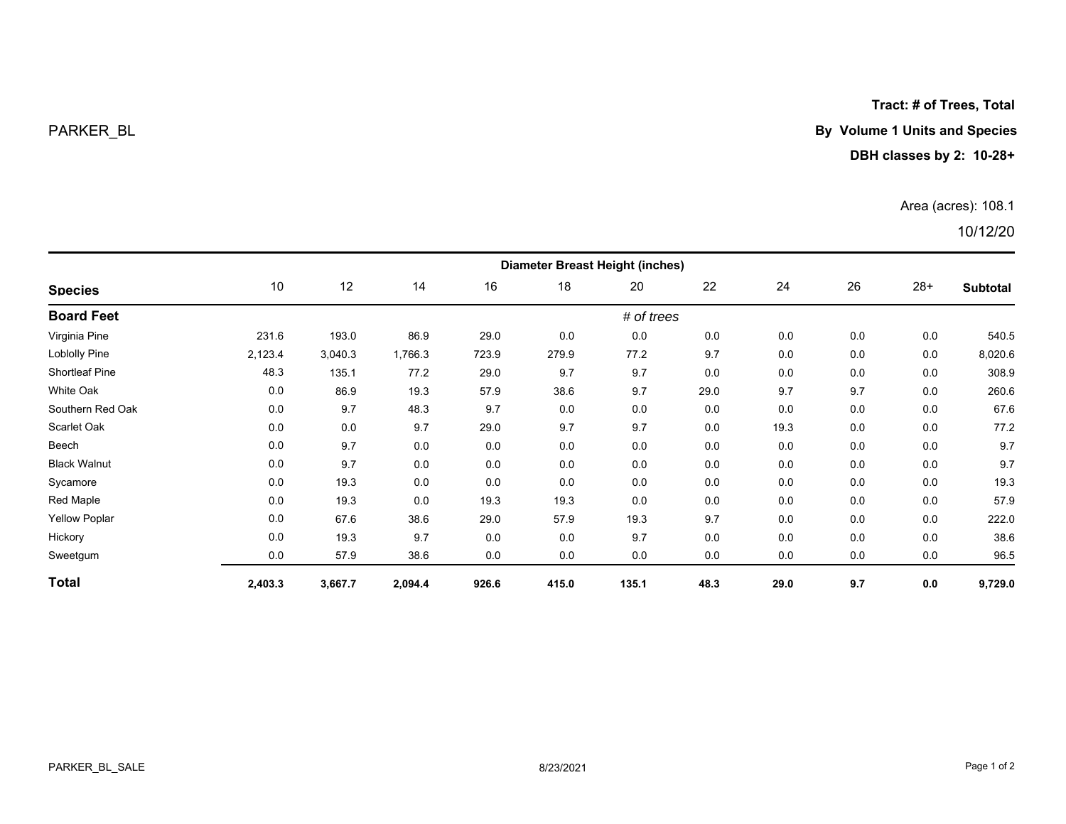**Tract: # of Trees, Total**

# PARKER\_BL **By Volume 1 Units and Species**

## **DBH classes by 2: 10-28+**

### Area (acres): 108.1

# 10/12/20

| <b>Species</b>        | <b>Diameter Breast Height (inches)</b> |         |         |       |       |       |      |      |     |       |          |  |
|-----------------------|----------------------------------------|---------|---------|-------|-------|-------|------|------|-----|-------|----------|--|
|                       | 10                                     | 12      | 14      | 16    | 18    | 20    | 22   | 24   | 26  | $28+$ | Subtotal |  |
| <b>Board Feet</b>     | # of trees                             |         |         |       |       |       |      |      |     |       |          |  |
| Virginia Pine         | 231.6                                  | 193.0   | 86.9    | 29.0  | 0.0   | 0.0   | 0.0  | 0.0  | 0.0 | 0.0   | 540.5    |  |
| Loblolly Pine         | 2,123.4                                | 3,040.3 | 1,766.3 | 723.9 | 279.9 | 77.2  | 9.7  | 0.0  | 0.0 | 0.0   | 8,020.6  |  |
| <b>Shortleaf Pine</b> | 48.3                                   | 135.1   | 77.2    | 29.0  | 9.7   | 9.7   | 0.0  | 0.0  | 0.0 | 0.0   | 308.9    |  |
| White Oak             | 0.0                                    | 86.9    | 19.3    | 57.9  | 38.6  | 9.7   | 29.0 | 9.7  | 9.7 | 0.0   | 260.6    |  |
| Southern Red Oak      | 0.0                                    | 9.7     | 48.3    | 9.7   | 0.0   | 0.0   | 0.0  | 0.0  | 0.0 | 0.0   | 67.6     |  |
| Scarlet Oak           | 0.0                                    | 0.0     | 9.7     | 29.0  | 9.7   | 9.7   | 0.0  | 19.3 | 0.0 | 0.0   | 77.2     |  |
| Beech                 | 0.0                                    | 9.7     | 0.0     | 0.0   | 0.0   | 0.0   | 0.0  | 0.0  | 0.0 | 0.0   | 9.7      |  |
| <b>Black Walnut</b>   | 0.0                                    | 9.7     | 0.0     | 0.0   | 0.0   | 0.0   | 0.0  | 0.0  | 0.0 | 0.0   | 9.7      |  |
| Sycamore              | 0.0                                    | 19.3    | 0.0     | 0.0   | 0.0   | 0.0   | 0.0  | 0.0  | 0.0 | 0.0   | 19.3     |  |
| Red Maple             | 0.0                                    | 19.3    | 0.0     | 19.3  | 19.3  | 0.0   | 0.0  | 0.0  | 0.0 | 0.0   | 57.9     |  |
| <b>Yellow Poplar</b>  | 0.0                                    | 67.6    | 38.6    | 29.0  | 57.9  | 19.3  | 9.7  | 0.0  | 0.0 | 0.0   | 222.0    |  |
| Hickory               | 0.0                                    | 19.3    | 9.7     | 0.0   | 0.0   | 9.7   | 0.0  | 0.0  | 0.0 | 0.0   | 38.6     |  |
| Sweetgum              | 0.0                                    | 57.9    | 38.6    | 0.0   | 0.0   | 0.0   | 0.0  | 0.0  | 0.0 | 0.0   | 96.5     |  |
| <b>Total</b>          | 2,403.3                                | 3,667.7 | 2,094.4 | 926.6 | 415.0 | 135.1 | 48.3 | 29.0 | 9.7 | 0.0   | 9,729.0  |  |